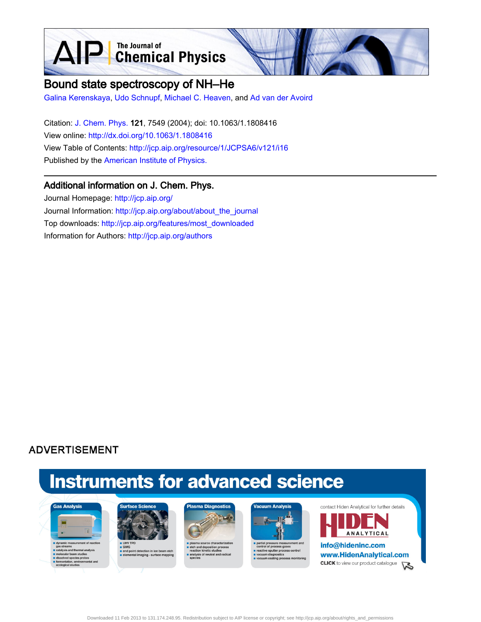AIP Chemical Physics



## Bound state spectroscopy of NH–He

[Galina Kerenskaya](http://jcp.aip.org/search?sortby=newestdate&q=&searchzone=2&searchtype=searchin&faceted=faceted&key=AIP_ALL&possible1=Galina Kerenskaya&possible1zone=author&alias=&displayid=AIP&ver=pdfcov), [Udo Schnupf,](http://jcp.aip.org/search?sortby=newestdate&q=&searchzone=2&searchtype=searchin&faceted=faceted&key=AIP_ALL&possible1=Udo Schnupf&possible1zone=author&alias=&displayid=AIP&ver=pdfcov) [Michael C. Heaven,](http://jcp.aip.org/search?sortby=newestdate&q=&searchzone=2&searchtype=searchin&faceted=faceted&key=AIP_ALL&possible1=Michael C. Heaven&possible1zone=author&alias=&displayid=AIP&ver=pdfcov) and [Ad van der Avoird](http://jcp.aip.org/search?sortby=newestdate&q=&searchzone=2&searchtype=searchin&faceted=faceted&key=AIP_ALL&possible1=Ad van der Avoird&possible1zone=author&alias=&displayid=AIP&ver=pdfcov)

Citation: [J. Chem. Phys. 1](http://jcp.aip.org/?ver=pdfcov)21, 7549 (2004); doi: 10.1063/1.1808416 View online: [http://dx.doi.org/10.1063/1.1808416](http://link.aip.org/link/doi/10.1063/1.1808416?ver=pdfcov) View Table of Contents: [http://jcp.aip.org/resource/1/JCPSA6/v121/i16](http://jcp.aip.org/resource/1/JCPSA6/v121/i16?ver=pdfcov) Published by the [American Institute of Physics.](http://www.aip.org/?ver=pdfcov)

## Additional information on J. Chem. Phys.

Journal Homepage: [http://jcp.aip.org/](http://jcp.aip.org/?ver=pdfcov) Journal Information: [http://jcp.aip.org/about/about\\_the\\_journal](http://jcp.aip.org/about/about_the_journal?ver=pdfcov) Top downloads: [http://jcp.aip.org/features/most\\_downloaded](http://jcp.aip.org/features/most_downloaded?ver=pdfcov) Information for Authors: [http://jcp.aip.org/authors](http://jcp.aip.org/authors?ver=pdfcov)

## **ADVERTISEMENT**

# **Instruments for advanced science**





UHV TI<br>SIMS ■ end point detection in ion beam etc<br>■ elemental imaging - surface mappir





partial pressure measure<br>control of process gases ctive sputter process control diagno

contact Hiden Analytical for further details



www.HidenAnalytical.com **CLICK** to view our product catalogue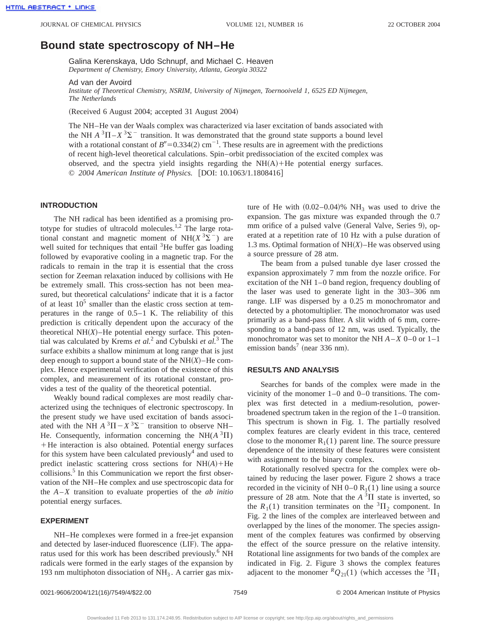### **Bound state spectroscopy of NH–He**

Galina Kerenskaya, Udo Schnupf, and Michael C. Heaven *Department of Chemistry, Emory University, Atlanta, Georgia 30322*

Ad van der Avoird

*Institute of Theoretical Chemistry, NSRIM, University of Nijmegen, Toernooiveld 1, 6525 ED Nijmegen, The Netherlands*

(Received 6 August 2004; accepted 31 August 2004)

The NH–He van der Waals complex was characterized via laser excitation of bands associated with the NH  $A^3\Pi - X^3\Sigma$ <sup>-</sup> transition. It was demonstrated that the ground state supports a bound level with a rotational constant of  $B''=0.334(2)$  cm<sup>-1</sup>. These results are in agreement with the predictions of recent high-level theoretical calculations. Spin–orbit predissociation of the excited complex was observed, and the spectra yield insights regarding the  $NH(A)+He$  potential energy surfaces. © 2004 American Institute of Physics. [DOI: 10.1063/1.1808416]

#### **INTRODUCTION**

The NH radical has been identified as a promising prototype for studies of ultracold molecules.1,2 The large rotational constant and magnetic moment of NH( $X^3\Sigma$ <sup>-</sup>) are well suited for techniques that entail  ${}^{3}$ He buffer gas loading followed by evaporative cooling in a magnetic trap. For the radicals to remain in the trap it is essential that the cross section for Zeeman relaxation induced by collisions with He be extremely small. This cross-section has not been measured, but theoretical calculations<sup>2</sup> indicate that it is a factor of at least  $10<sup>5</sup>$  smaller than the elastic cross section at temperatures in the range of 0.5–1 K. The reliability of this prediction is critically dependent upon the accuracy of the theoretical NH $(X)$ –He potential energy surface. This potential was calculated by Krems *et al.*<sup>2</sup> and Cybulski *et al.*<sup>3</sup> The surface exhibits a shallow minimum at long range that is just deep enough to support a bound state of the  $NH(X)$ –He complex. Hence experimental verification of the existence of this complex, and measurement of its rotational constant, provides a test of the quality of the theoretical potential.

Weakly bound radical complexes are most readily characterized using the techniques of electronic spectroscopy. In the present study we have used excitation of bands associated with the NH  $A^{3}\Pi - X^{3}\Sigma^{-}$  transition to observe NH– He. Consequently, information concerning the NH( $A^3\Pi$ ) +He interaction is also obtained. Potential energy surfaces for this system have been calculated previously<sup>4</sup> and used to predict inelastic scattering cross sections for  $NH(A)$ +He collisions.<sup>5</sup> In this Communication we report the first observation of the NH–He complex and use spectroscopic data for the *A*–*X* transition to evaluate properties of the *ab initio* potential energy surfaces.

#### **EXPERIMENT**

NH–He complexes were formed in a free-jet expansion and detected by laser-induced fluorescence (LIF). The apparatus used for this work has been described previously.<sup>6</sup> NH radicals were formed in the early stages of the expansion by 193 nm multiphoton dissociation of  $NH<sub>3</sub>$ . A carrier gas mixture of He with  $(0.02-0.04)\%$  NH<sub>3</sub> was used to drive the expansion. The gas mixture was expanded through the 0.7 mm orifice of a pulsed valve (General Valve, Series 9), operated at a repetition rate of 10 Hz with a pulse duration of 1.3 ms. Optimal formation of  $NH(X)$ –He was observed using a source pressure of 28 atm.

The beam from a pulsed tunable dye laser crossed the expansion approximately 7 mm from the nozzle orifice. For excitation of the NH 1–0 band region, frequency doubling of the laser was used to generate light in the 303–306 nm range. LIF was dispersed by a 0.25 m monochromator and detected by a photomultiplier. The monochromator was used primarily as a band-pass filter. A slit width of 6 mm, corresponding to a band-pass of 12 nm, was used. Typically, the monochromator was set to monitor the NH *A*–*X* 0–0 or 1–1 emission bands<sup>7</sup> (near 336 nm).

#### **RESULTS AND ANALYSIS**

Searches for bands of the complex were made in the vicinity of the monomer 1–0 and 0–0 transitions. The complex was first detected in a medium-resolution, powerbroadened spectrum taken in the region of the 1–0 transition. This spectrum is shown in Fig. 1. The partially resolved complex features are clearly evident in this trace, centered close to the monomer  $R_1(1)$  parent line. The source pressure dependence of the intensity of these features were consistent with assignment to the binary complex.

Rotationally resolved spectra for the complex were obtained by reducing the laser power. Figure 2 shows a trace recorded in the vicinity of NH  $0-0 R_1(1)$  line using a source pressure of 28 atm. Note that the  $A^3\Pi$  state is inverted, so the  $R_1(1)$  transition terminates on the <sup>3</sup> $\Pi_2$  component. In Fig. 2 the lines of the complex are interleaved between and overlapped by the lines of the monomer. The species assignment of the complex features was confirmed by observing the effect of the source pressure on the relative intensity. Rotational line assignments for two bands of the complex are indicated in Fig. 2. Figure 3 shows the complex features adjacent to the monomer  ${}^RQ_{21}(1)$  (which accesses the  ${}^3\Pi_1$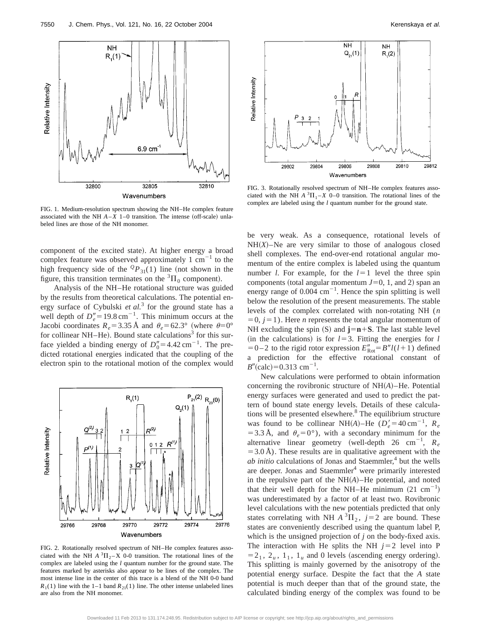

FIG. 1. Medium-resolution spectrum showing the NH–He complex feature associated with the NH  $A-X$  1–0 transition. The intense (off-scale) unlabeled lines are those of the NH monomer.

component of the excited state). At higher energy a broad complex feature was observed approximately 1  $cm^{-1}$  to the high frequency side of the  ${}^{Q}P_{31}(1)$  line (not shown in the figure, this transition terminates on the  ${}^{3}$  $\Pi_{0}$  component).

Analysis of the NH–He rotational structure was guided by the results from theoretical calculations. The potential energy surface of Cybulski *et al.*<sup>3</sup> for the ground state has a well depth of  $D''_e = 19.8 \text{ cm}^{-1}$ . This minimum occurs at the Jacobi coordinates  $R_e$  = 3.35 Å and  $\theta_e$  = 62.3° (where  $\theta$ =0° for collinear NH–He). Bound state calculations<sup>3</sup> for this surface yielded a binding energy of  $D_0''=4.42 \text{ cm}^{-1}$ . The predicted rotational energies indicated that the coupling of the electron spin to the rotational motion of the complex would



FIG. 2. Rotationally resolved spectrum of NH–He complex features associated with the NH  $A^3\Pi_2$ –X 0-0 transition. The rotational lines of the complex are labeled using the *l* quantum number for the ground state. The features marked by asterisks also appear to be lines of the complex. The most intense line in the center of this trace is a blend of the NH 0-0 band  $R_1(1)$  line with the 1–1 band  $R_{21}(1)$  line. The other intense unlabeled lines are also from the NH monomer.



FIG. 3. Rotationally resolved spectrum of NH–He complex features associated with the NH  $A^{3}\Pi_{1}-X$  0–0 transition. The rotational lines of the complex are labeled using the *l* quantum number for the ground state.

be very weak. As a consequence, rotational levels of  $NH(X)$ –Ne are very similar to those of analogous closed shell complexes. The end-over-end rotational angular momentum of the entire complex is labeled using the quantum number *l*. For example, for the  $l=1$  level the three spin components (total angular momentum  $J=0, 1,$  and 2) span an energy range of  $0.004 \text{ cm}^{-1}$ . Hence the spin splitting is well below the resolution of the present measurements. The stable levels of the complex correlated with non-rotating NH (*n*  $=0, j=1$ ). Here *n* represents the total angular momentum of NH excluding the spin  $(S)$  and  $\mathbf{i} = \mathbf{n} + \mathbf{S}$ . The last stable level  $(in the calculations)$  is for  $l=3$ . Fitting the energies for *l*  $=0-2$  to the rigid rotor expression  $E''_{\text{Rot}} = B''l(l+1)$  defined a prediction for the effective rotational constant of  $B''(\text{calc}) = 0.313 \text{ cm}^{-1}$ .

New calculations were performed to obtain information concerning the rovibronic structure of  $NH(A)$ –He. Potential energy surfaces were generated and used to predict the pattern of bound state energy levels. Details of these calculations will be presented elsewhere. $8$  The equilibrium structure was found to be collinear NH(*A*)–He ( $D'_e$ =40 cm<sup>-1</sup>,  $R_e$ = 3.3 Å, and  $\theta_e$ =0°), with a secondary minimum for the alternative linear geometry (well-depth 26  $cm^{-1}$ ,  $R_e$  $=$  3.0 Å). These results are in qualitative agreement with the *ab initio* calculations of Jonas and Staemmler,<sup>4</sup> but the wells are deeper. Jonas and Staemmler<sup>4</sup> were primarily interested in the repulsive part of the  $NH(A)$ –He potential, and noted that their well depth for the NH-He minimum  $(21 \text{ cm}^{-1})$ was underestimated by a factor of at least two. Rovibronic level calculations with the new potentials predicted that only states correlating with NH  $A^{3}\Pi_{2}$ ,  $j=2$  are bound. These states are conveniently described using the quantum label P, which is the unsigned projection of *j* on the body-fixed axis. The interaction with He splits the NH  $j=2$  level into P  $=2_1, 2_u, 1_1, 1_u$  and 0 levels (ascending energy ordering). This splitting is mainly governed by the anisotropy of the potential energy surface. Despite the fact that the *A* state potential is much deeper than that of the ground state, the calculated binding energy of the complex was found to be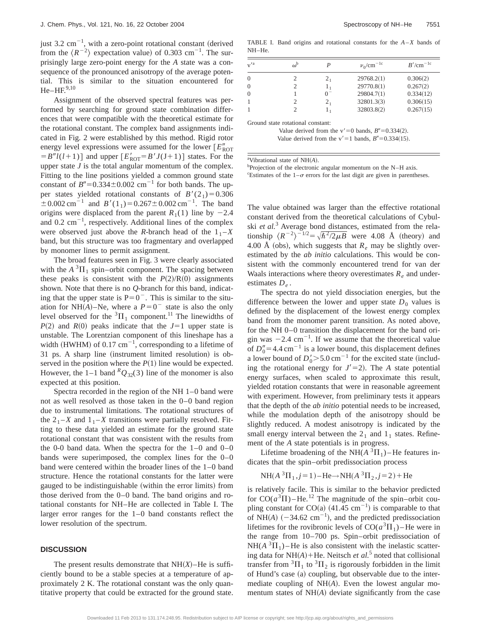just 3.2  $\text{cm}^{-1}$ , with a zero-point rotational constant (derived from the  $\langle R^{-2} \rangle$  expectation value) of 0.303 cm<sup>-1</sup>. The surprisingly large zero-point energy for the *A* state was a consequence of the pronounced anisotropy of the average potential. This is similar to the situation encountered for  $He-HF.<sup>9,10</sup>$ 

Assignment of the observed spectral features was performed by searching for ground state combination differences that were compatible with the theoretical estimate for the rotational constant. The complex band assignments indicated in Fig. 2 were established by this method. Rigid rotor energy level expressions were assumed for the lower  $[E''_{\text{ROT}}]$  $= B''l(l+1)$  and upper  $[E'_{\text{ROT}} = B'J(J+1)]$  states. For the upper state *J* is the total angular momentum of the complex. Fitting to the line positions yielded a common ground state constant of  $B''=0.334\pm0.002$  cm<sup>-1</sup> for both bands. The upper states yielded rotational constants of  $B'(2_1)=0.306$  $\pm$  0.002 cm<sup>-1</sup> and *B'*(1<sub>1</sub>)=0.267 $\pm$ 0.002 cm<sup>-1</sup>. The band origins were displaced from the parent  $R_1(1)$  line by  $-2.4$ and  $0.2 \text{ cm}^{-1}$ , respectively. Additional lines of the complex were observed just above the *R*-branch head of the  $1<sub>1</sub> - X$ band, but this structure was too fragmentary and overlapped by monomer lines to permit assignment.

The broad features seen in Fig. 3 were clearly associated with the  $A^3\Pi_1$  spin–orbit component. The spacing between these peaks is consistent with the  $P(2)/R(0)$  assignments shown. Note that there is no *Q*-branch for this band, indicating that the upper state is  $P=0^-$ . This is similar to the situation for NH $(A)$ –Ne, where a  $P=0^-$  state is also the only level observed for the  ${}^{3}$  $\Pi_{1}$  component.<sup>11</sup> The linewidths of  $P(2)$  and  $R(0)$  peaks indicate that the  $J=1$  upper state is unstable. The Lorentzian component of this lineshape has a width (HWHM) of 0.17  $cm^{-1}$ , corresponding to a lifetime of  $31$  ps. A sharp line (instrument limited resolution) is observed in the position where the  $P(1)$  line would be expected. However, the 1–1 band  ${}^RQ_{32}(3)$  line of the monomer is also expected at this position.

Spectra recorded in the region of the NH 1–0 band were not as well resolved as those taken in the 0–0 band region due to instrumental limitations. The rotational structures of the  $2<sub>1</sub> - X$  and  $1<sub>1</sub> - X$  transitions were partially resolved. Fitting to these data yielded an estimate for the ground state rotational constant that was consistent with the results from the 0-0 band data. When the spectra for the  $1-0$  and  $0-0$ bands were superimposed, the complex lines for the 0–0 band were centered within the broader lines of the 1–0 band structure. Hence the rotational constants for the latter were gauged to be indistinguishable (within the error limits) from those derived from the 0–0 band. The band origins and rotational constants for NH–He are collected in Table I. The larger error ranges for the 1–0 band constants reflect the lower resolution of the spectrum.

#### **DISCUSSION**

The present results demonstrate that  $NH(X)$ –He is sufficiently bound to be a stable species at a temperature of approximately 2 K. The rotational constant was the only quantitative property that could be extracted for the ground state.

TABLE I. Band origins and rotational constants for the *A*–*X* bands of NH–He.

| $V^{\prime}$ a | $\omega^{\rm b}$ |                | $\nu_0$ /cm <sup>-1c</sup> | $B'/\text{cm}^{-1c}$ |
|----------------|------------------|----------------|----------------------------|----------------------|
| $\Omega$       |                  | 2,             | 29768.2(1)                 | 0.306(2)             |
| $\Omega$       |                  |                | 29770.8(1)                 | 0.267(2)             |
| $\Omega$       |                  |                | 29804.7(1)                 | 0.334(12)            |
|                |                  | 2 <sub>1</sub> | 32801.3(3)                 | 0.306(15)            |
|                |                  |                | 32803.8(2)                 | 0.267(15)            |

Ground state rotational constant:

Value derived from the  $v' = 0$  bands,  $B'' = 0.334(2)$ . Value derived from the  $v'=1$  bands,  $B''=0.334(15)$ .

<sup>a</sup>Vibrational state of NH(A).

b Projection of the electronic angular momentum on the N–H axis. Estimates of the  $1-\sigma$  errors for the last digit are given in parentheses.

The value obtained was larger than the effective rotational constant derived from the theoretical calculations of Cybulski *et al.*<sup>3</sup> Average bond distances, estimated from the relationship  $\langle R^{-2} \rangle^{-1/2} = \sqrt{\hbar^2/2\mu B}$  were 4.08 Å (theory) and 4.00 Å (obs), which suggests that  $R_e$  may be slightly overestimated by the *ab initio* calculations. This would be consistent with the commonly encountered trend for van der Waals interactions where theory overestimates  $R_{\rho}$  and underestimates  $D_e$ .

The spectra do not yield dissociation energies, but the difference between the lower and upper state  $D_0$  values is defined by the displacement of the lowest energy complex band from the monomer parent transition. As noted above, for the NH 0–0 transition the displacement for the band origin was  $-2.4$  cm<sup>-1</sup>. If we assume that the theoretical value of  $D_0'' = 4.4 \text{ cm}^{-1}$  is a lower bound, this displacement defines a lower bound of  $D'_0 > 5.0 \text{ cm}^{-1}$  for the excited state (including the rotational energy for  $J' = 2$ ). The *A* state potential energy surfaces, when scaled to approximate this result, yielded rotation constants that were in reasonable agreement with experiment. However, from preliminary tests it appears that the depth of the *ab initio* potential needs to be increased, while the modulation depth of the anisotropy should be slightly reduced. A modest anisotropy is indicated by the small energy interval between the  $2<sub>1</sub>$  and  $1<sub>1</sub>$  states. Refinement of the *A* state potentials is in progress.

Lifetime broadening of the NH( $A<sup>3</sup>\Pi_1$ ) – He features indicates that the spin–orbit predissociation process

NH(
$$
A^3\Pi_1
$$
,  $j=1$ ) – He→NH( $A^3\Pi_2$ ,  $j=2$ ) + He

is relatively facile. This is similar to the behavior predicted for  $CO(a^3\Pi)$  – He.<sup>12</sup> The magnitude of the spin–orbit coupling constant for CO(a)  $(41.45 \text{ cm}^{-1})$  is comparable to that of NH $(A)$  (-34.62 cm<sup>-1</sup>), and the predicted predissociation lifetimes for the rovibronic levels of  $CO(a^3\Pi_1)$ –He were in the range from 10–700 ps. Spin–orbit predissociation of  $NH(A<sup>3</sup>\Pi<sub>1</sub>)$  – He is also consistent with the inelastic scattering data for  $NH(A)$ +He. Neitsch *et al.*<sup>5</sup> noted that collisional transfer from  ${}^{3}$  $\Pi_1$  to  ${}^{3}$  $\Pi_2$  is rigorously forbidden in the limit of Hund's case (a) coupling, but observable due to the intermediate coupling of  $NH(A)$ . Even the lowest angular momentum states of  $NH(A)$  deviate significantly from the case